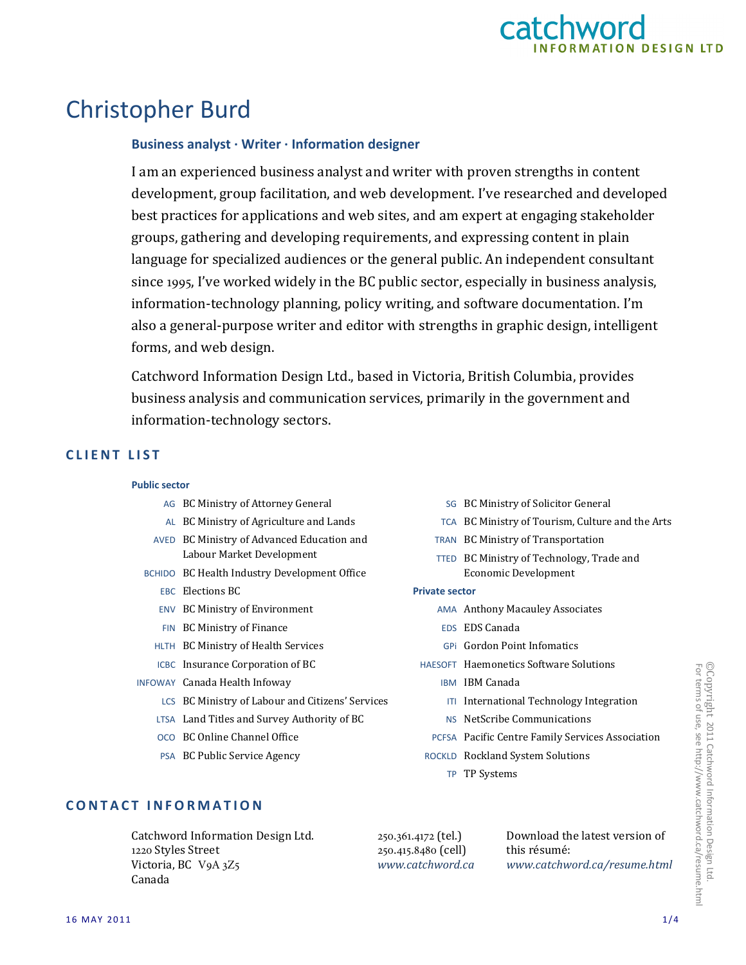

# Christopher Burd

## **Business analyst · Writer · Information designer**

I am an experienced business analyst and writer with proven strengths in content development, group facilitation, and web development. I've researched and developed best practices for applications and web sites, and am expert at engaging stakeholder groups, gathering and developing requirements, and expressing content in plain language for specialized audiences or the general public. An independent consultant since 1995, I've worked widely in the BC public sector, especially in business analysis, information-technology planning, policy writing, and software documentation. I'm also a general-purpose writer and editor with strengths in graphic design, intelligent forms, and web design.

Catchword Information Design Ltd., based in Victoria, British Columbia, provides business analysis and communication services, primarily in the government and information-technology sectors.

### **C L I E N T L I S T**

#### **Public sector**

- AG BC Ministry of Attorney General
- AL BC Ministry of Agriculture and Lands
- AVED BC Ministry of Advanced Education and Labour Market Development
- BCHIDO BC Health Industry Development Office
	- EBC Elections BC
	- ENV BC Ministry of Environment
	- FIN BC Ministry of Finance
	- HLTH BC Ministry of Health Services
	- ICBC Insurance Corporation of BC
- INFOWAY Canada Health Infoway
	- LCS BC Ministry of Labour and Citizens' Services
	- LTSA Land Titles and Survey Authority of BC
	- OCO BC Online Channel Office
	- PSA BC Public Service Agency
- SG BC Ministry of Solicitor General
- TCA BC Ministry of Tourism, Culture and the Arts
- TRAN BC Ministry of Transportation
- TTED BC Ministry of Technology, Trade and Economic Development

#### **Private sector**

- AMA Anthony Macauley Associates
- EDS EDS Canada
- GPi Gordon Point Infomatics
- HAESOFT Haemonetics Software Solutions
	- IBM IBM Canada
	- ITI International Technology Integration
	- NS NetScribe Communications
	- PCFSA Pacific Centre Family Services Association
- ROCKLD Rockland System Solutions
	- TP TP Systems

## **CONTACT INFORMATION**

Catchword Information Design Ltd. 1220 Styles Street Victoria, BC V9A 3Z5 Canada

250.361.4172 (tel.) 250.415.8480 (cell) *www.catchword.ca* Download the latest version of this résumé: *www.catchword.ca/resume.html*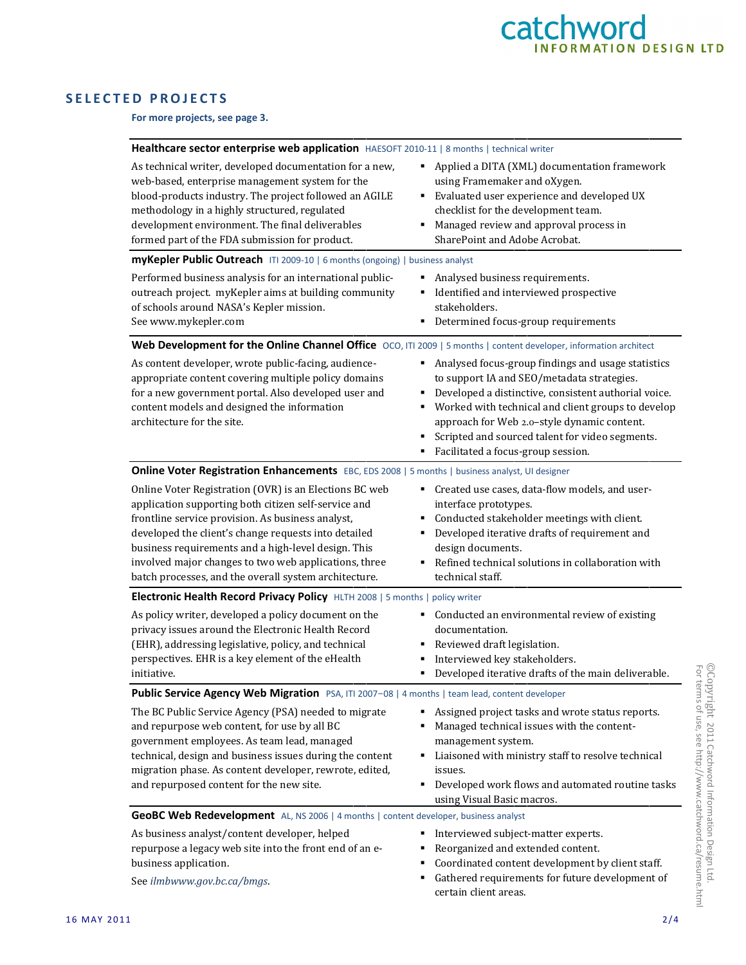

## **SELECTED PROJECTS**

**For more projects, see page 3.**

| Healthcare sector enterprise web application HAESOFT 2010-11   8 months   technical writer                                                                                                                                                                                                                                                                                                           |                                                                                                                                                                                                                                                                                                                                                                  |  |
|------------------------------------------------------------------------------------------------------------------------------------------------------------------------------------------------------------------------------------------------------------------------------------------------------------------------------------------------------------------------------------------------------|------------------------------------------------------------------------------------------------------------------------------------------------------------------------------------------------------------------------------------------------------------------------------------------------------------------------------------------------------------------|--|
| As technical writer, developed documentation for a new,<br>web-based, enterprise management system for the<br>blood-products industry. The project followed an AGILE<br>methodology in a highly structured, regulated<br>development environment. The final deliverables<br>formed part of the FDA submission for product.                                                                           | Applied a DITA (XML) documentation framework<br>٠<br>using Framemaker and oXygen.<br>Evaluated user experience and developed UX<br>٠<br>checklist for the development team.<br>Managed review and approval process in<br>٠<br>SharePoint and Adobe Acrobat.                                                                                                      |  |
| myKepler Public Outreach ITI 2009-10   6 months (ongoing)   business analyst                                                                                                                                                                                                                                                                                                                         |                                                                                                                                                                                                                                                                                                                                                                  |  |
| Performed business analysis for an international public-<br>outreach project. myKepler aims at building community<br>of schools around NASA's Kepler mission.<br>See www.mykepler.com                                                                                                                                                                                                                | Analysed business requirements.<br>Identified and interviewed prospective<br>stakeholders.<br>Determined focus-group requirements                                                                                                                                                                                                                                |  |
| Web Development for the Online Channel Office OCO, ITI 2009   5 months   content developer, information architect                                                                                                                                                                                                                                                                                    |                                                                                                                                                                                                                                                                                                                                                                  |  |
| As content developer, wrote public-facing, audience-<br>appropriate content covering multiple policy domains<br>for a new government portal. Also developed user and<br>content models and designed the information<br>architecture for the site.                                                                                                                                                    | Analysed focus-group findings and usage statistics<br>٠<br>to support IA and SEO/metadata strategies.<br>Developed a distinctive, consistent authorial voice.<br>٠<br>Worked with technical and client groups to develop<br>approach for Web 2.0-style dynamic content.<br>Scripted and sourced talent for video segments.<br>Facilitated a focus-group session. |  |
| Online Voter Registration Enhancements EBC, EDS 2008   5 months   business analyst, UI designer                                                                                                                                                                                                                                                                                                      |                                                                                                                                                                                                                                                                                                                                                                  |  |
| Online Voter Registration (OVR) is an Elections BC web<br>application supporting both citizen self-service and<br>frontline service provision. As business analyst,<br>developed the client's change requests into detailed<br>business requirements and a high-level design. This<br>involved major changes to two web applications, three<br>batch processes, and the overall system architecture. | • Created use cases, data-flow models, and user-<br>interface prototypes.<br>Conducted stakeholder meetings with client.<br>Developed iterative drafts of requirement and<br>٠<br>design documents.<br>Refined technical solutions in collaboration with<br>technical staff.                                                                                     |  |
| Electronic Health Record Privacy Policy HLTH 2008   5 months   policy writer                                                                                                                                                                                                                                                                                                                         |                                                                                                                                                                                                                                                                                                                                                                  |  |
| As policy writer, developed a policy document on the<br>privacy issues around the Electronic Health Record<br>(EHR), addressing legislative, policy, and technical<br>perspectives. EHR is a key element of the eHealth<br>initiative.                                                                                                                                                               | Conducted an environmental review of existing<br>٠<br>documentation.<br>Reviewed draft legislation.<br>Interviewed key stakeholders.<br>Developed iterative drafts of the main deliverable.                                                                                                                                                                      |  |
| Public Service Agency Web Migration PSA, ITI 2007-08   4 months   team lead, content developer                                                                                                                                                                                                                                                                                                       |                                                                                                                                                                                                                                                                                                                                                                  |  |
| The BC Public Service Agency (PSA) needed to migrate<br>and repurpose web content, for use by all BC<br>government employees. As team lead, managed<br>technical, design and business issues during the content<br>migration phase. As content developer, rewrote, edited,<br>and repurposed content for the new site.                                                                               | Assigned project tasks and wrote status reports.<br>Managed technical issues with the content-<br>management system.<br>Liaisoned with ministry staff to resolve technical<br>٠<br>issues.<br>Developed work flows and automated routine tasks<br>using Visual Basic macros.                                                                                     |  |
| GeoBC Web Redevelopment AL, NS 2006   4 months   content developer, business analyst                                                                                                                                                                                                                                                                                                                 |                                                                                                                                                                                                                                                                                                                                                                  |  |
| As business analyst/content developer, helped<br>repurpose a legacy web site into the front end of an e-<br>business application.<br>See ilmbwww.gov.bc.ca/bmgs.                                                                                                                                                                                                                                     | Interviewed subject-matter experts.<br>Reorganized and extended content.<br>Coordinated content development by client staff.<br>Gathered requirements for future development of<br>٠<br>certain client areas.                                                                                                                                                    |  |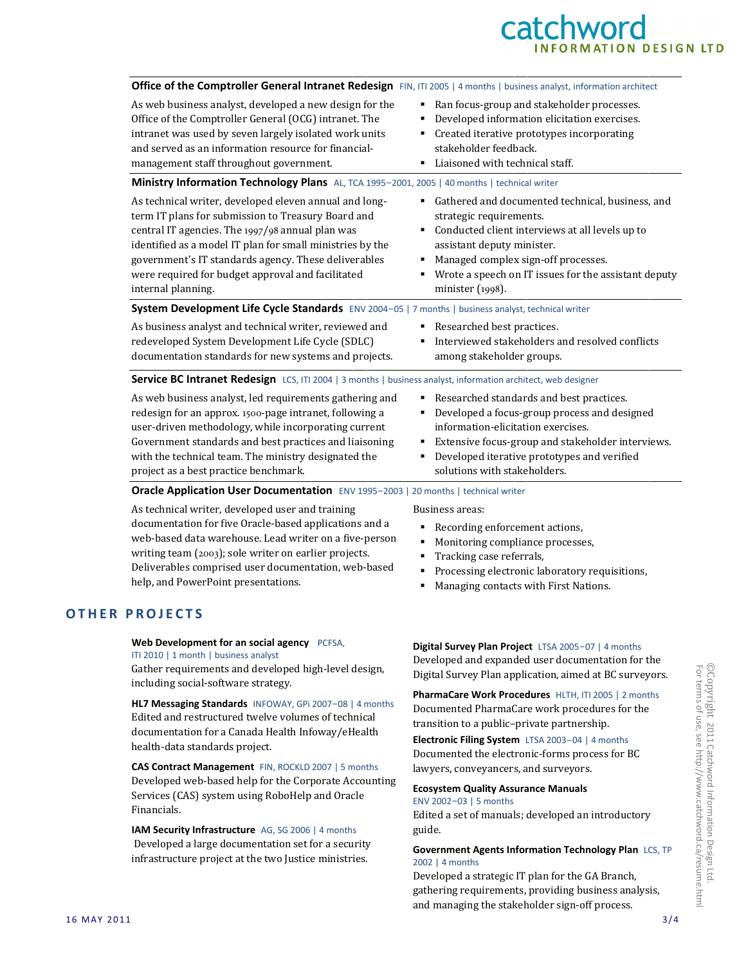## catchword **IFORMATION DESIGN LTD**

| Office of the Comptroller General Intranet Redesign FIN, ITI 2005   4 months   business analyst, information architect                                                                                                                                                                                                                                           |                                                                                                                                                                                                                                                                                      |
|------------------------------------------------------------------------------------------------------------------------------------------------------------------------------------------------------------------------------------------------------------------------------------------------------------------------------------------------------------------|--------------------------------------------------------------------------------------------------------------------------------------------------------------------------------------------------------------------------------------------------------------------------------------|
| As web business analyst, developed a new design for the<br>Office of the Comptroller General (OCG) intranet. The<br>intranet was used by seven largely isolated work units<br>and served as an information resource for financial-<br>management staff throughout government.                                                                                    | Ran focus-group and stakeholder processes.<br>٠<br>Developed information elicitation exercises.<br>Created iterative prototypes incorporating<br>stakeholder feedback.<br>Liaisoned with technical staff.                                                                            |
| Ministry Information Technology Plans AL, TCA 1995-2001, 2005   40 months   technical writer                                                                                                                                                                                                                                                                     |                                                                                                                                                                                                                                                                                      |
| As technical writer, developed eleven annual and long-<br>term IT plans for submission to Treasury Board and<br>central IT agencies. The 1997/98 annual plan was<br>identified as a model IT plan for small ministries by the<br>government's IT standards agency. These deliverables<br>were required for budget approval and facilitated<br>internal planning. | Gathered and documented technical, business, and<br>٠<br>strategic requirements.<br>Conducted client interviews at all levels up to<br>assistant deputy minister.<br>Managed complex sign-off processes.<br>Wrote a speech on IT issues for the assistant deputy<br>minister (1998). |
| System Development Life Cycle Standards ENV 2004-05   7 months   business analyst, technical writer                                                                                                                                                                                                                                                              |                                                                                                                                                                                                                                                                                      |
| As business analyst and technical writer, reviewed and<br>redeveloped System Development Life Cycle (SDLC)<br>documentation standards for new systems and projects.                                                                                                                                                                                              | Researched best practices.<br>Interviewed stakeholders and resolved conflicts<br>among stakeholder groups.                                                                                                                                                                           |
| Service BC Intranet Redesign LCS, ITI 2004   3 months   business analyst, information architect, web designer                                                                                                                                                                                                                                                    |                                                                                                                                                                                                                                                                                      |
| As web business analyst, led requirements gathering and<br>redesign for an approx. 1500-page intranet, following a<br>user-driven methodology, while incorporating current<br>Government standards and best practices and liaisoning<br>with the technical team. The ministry designated the<br>project as a best practice benchmark.                            | Researched standards and best practices.<br>٠<br>Developed a focus-group process and designed<br>information-elicitation exercises.<br>Extensive focus-group and stakeholder interviews.<br>Developed iterative prototypes and verified<br>solutions with stakeholders.              |
| Oracle Application User Documentation ENV 1995-2003   20 months   technical writer                                                                                                                                                                                                                                                                               |                                                                                                                                                                                                                                                                                      |
| As technical writer, developed user and training<br>documentation for five Oracle-based applications and a<br>web-based data warehouse. Lead writer on a five-person<br>writing team (2003); sole writer on earlier projects.<br>Deliverables comprised user documentation, web-based<br>help, and PowerPoint presentations.                                     | Business areas:<br>Recording enforcement actions,<br>Monitoring compliance processes,<br>Tracking case referrals,<br>Processing electronic laboratory requisitions,<br>٠<br>Managing contacts with First Nations                                                                     |

**OTHER PROJECTS** 

**Web Development for an social agency** PCFSA, ITI 2010 | 1 month | business analyst

Gather requirements and developed high-level design, including social-software strategy.

**HL7 Messaging Standards** INFOWAY, GPi 2007-08 | 4 months Edited and restructured twelve volumes of technical documentation for a Canada Health Infoway/eHealth health-data standards project.

**CAS Contract Management** FIN, ROCKLD 2007 | 5 months Developed web-based help for the Corporate Accounting Services (CAS) system using RoboHelp and Oracle Financials.

**IAM Security Infrastructure** AG, SG 2006 | 4 months Developed a large documentation set for a security infrastructure project at the two Justice ministries.

**Managing contacts with First Nations.** 

**Digital Survey Plan Project** LTSA 2005-07 | 4 months Developed and expanded user documentation for the Digital Survey Plan application, aimed at BC surveyors.

**PharmaCare Work Procedures** HLTH, ITI 2005 | 2 months Documented PharmaCare work procedures for the transition to a public–private partnership.

**Electronic Filing System** LTSA 2003-04 | 4 months Documented the electronic-forms process for BC lawyers, conveyancers, and surveyors.

#### **Ecosystem Quality Assurance Manuals**

ENV 2002-03 | 5 months

Edited a set of manuals; developed an introductory guide.

#### **Government Agents Information Technology Plan** LCS, TP 2002 | 4 months

Developed a strategic IT plan for the GA Branch, gathering requirements, providing business analysis, and managing the stakeholder sign-off process.